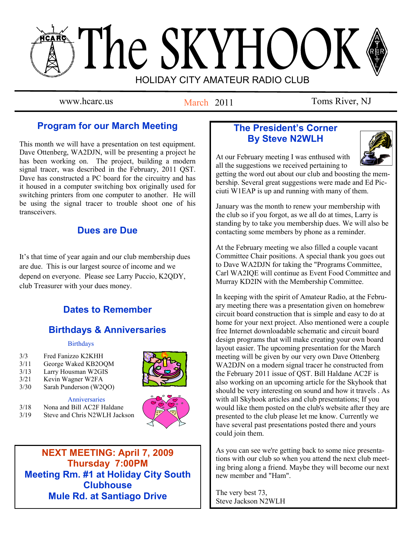# The SKYHOOK HOLIDAY CITY AMATEUR RADIO CLUB

March 2011

www.hcarc.us March 2011 Toms River, NJ

# **Program for our March Meeting**

This month we will have a presentation on test equipment. Dave Ottenberg, WA2DJN, will be presenting a project he has been working on. The project, building a modern signal tracer, was described in the February, 2011 QST. Dave has constructed a PC board for the circuitry and has it housed in a computer switching box originally used for switching printers from one computer to another. He will be using the signal tracer to trouble shoot one of his transceivers.

# **Dues are Due**

It's that time of year again and our club membership dues are due. This is our largest source of income and we depend on everyone. Please see Larry Puccio, K2QDY, club Treasurer with your dues money.

# **Dates to Remember**

# **Birthdays & Anniversaries**

#### **Birthdays**

- 3/3 Fred Fanizzo K2KHH
- 3/11 George Waked KB2OQM
- 3/13 Larry Housman W2GIS
- 3/21 Kevin Wagner W2FA
- 3/30 Sarah Punderson (W2QO)

**Anniversaries** 3/18 Nona and Bill AC2F Haldane 3/19 Steve and Chris N2WLH Jackson





**NEXT MEETING: April 7, 2009 Thursday 7:00PM Meeting Rm. #1 at Holiday City South Clubhouse Mule Rd. at Santiago Drive**

# **The President's Corner By Steve N2WLH**



At our February meeting I was enthused with all the suggestions we received pertaining to

getting the word out about our club and boosting the membership. Several great suggestions were made and Ed Picciuti W1EAP is up and running with many of them.

January was the month to renew your membership with the club so if you forgot, as we all do at times, Larry is standing by to take you membership dues. We will also be contacting some members by phone as a reminder.

At the February meeting we also filled a couple vacant Committee Chair positions. A special thank you goes out to Dave WA2DJN for taking the "Programs Committee, Carl WA2IQE will continue as Event Food Committee and Murray KD2IN with the Membership Committee.

In keeping with the spirit of Amateur Radio, at the February meeting there was a presentation given on homebrew circuit board construction that is simple and easy to do at home for your next project. Also mentioned were a couple free Internet downloadable schematic and circuit board design programs that will make creating your own board layout easier. The upcoming presentation for the March meeting will be given by our very own Dave Ottenberg WA2DJN on a modern signal tracer he constructed from the February 2011 issue of QST. Bill Haldane AC2F is also working on an upcoming article for the Skyhook that should be very interesting on sound and how it travels . As with all Skyhook articles and club presentations; If you would like them posted on the club's website after they are presented to the club please let me know. Currently we have several past presentations posted there and yours could join them.

As you can see we're getting back to some nice presentations with our club so when you attend the next club meeting bring along a friend. Maybe they will become our next new member and "Ham".

The very best 73, Steve Jackson N2WLH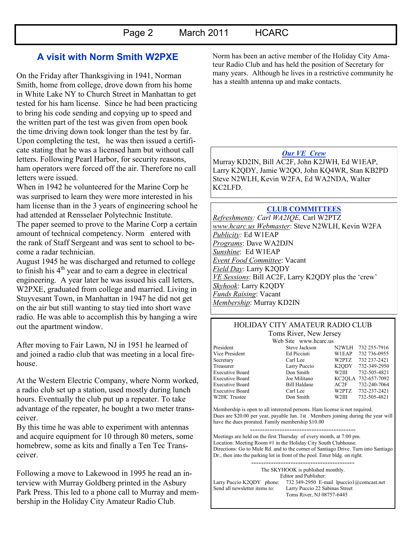## **A visit with Norm Smith W2PXE**

On the Friday after Thanksgiving in 1941, Norman Smith, home from college, drove down from his home in White Lake NY to Church Street in Manhattan to get tested for his ham license. Since he had been practicing to bring his code sending and copying up to speed and the written part of the test was given from open book the time driving down took longer than the test by far. Upon completing the test, he was then issued a certificate stating that he was a licensed ham but without call letters. Following Pearl Harbor, for security reasons, ham operators were forced off the air. Therefore no call letters were issued.

When in 1942 he volunteered for the Marine Corp he was surprised to learn they were more interested in his ham license than in the 3 years of engineering school he had attended at Rensselaer Polytechnic Institute. The paper seemed to prove to the Marine Corp a certain amount of technical competency. Norm entered with the rank of Staff Sergeant and was sent to school to become a radar technician.

August 1945 he was discharged and returned to college to finish his  $4<sup>th</sup>$  year and to earn a degree in electrical engineering. A year later he was issued his call letters, W2PXE, graduated from college and married. Living in Stuyvesant Town, in Manhattan in 1947 he did not get on the air but still wanting to stay tied into short wave radio. He was able to accomplish this by hanging a wire out the apartment window.

After moving to Fair Lawn, NJ in 1951 he learned of and joined a radio club that was meeting in a local firehouse.

At the Western Electric Company, where Norm worked, a radio club set up a station, used mostly during lunch hours. Eventually the club put up a repeater. To take advantage of the repeater, he bought a two meter transceiver.

By this time he was able to experiment with antennas and acquire equipment for 10 through 80 meters, some homebrew, some as kits and finally a Ten Tec Transceiver.

Following a move to Lakewood in 1995 he read an interview with Murray Goldberg printed in the Asbury Park Press. This led to a phone call to Murray and membership in the Holiday City Amateur Radio Club.

Norm has been an active member of the Holiday City Amateur Radio Club and has held the position of Secretary for many years. Although he lives in a restrictive community he has a stealth antenna up and make contacts.

#### *Our VE Crew*

Murray KD2IN, Bill AC2F, John K2JWH, Ed W1EAP, Larry K2QDY, Jamie W2QO, John KQ4WR, Stan KB2PD Steve N2WLH, Kevin W2FA, Ed WA2NDA, Walter KC2LFD.

#### **CLUB COMMITTEES**

*Refreshments: Carl WA2IQE,* Carl W2PTZ *www.hcarc.us Webmaster*: Steve N2WLH, Kevin W2FA *Publicity:* Ed W1EAP *Programs*: Dave WA2DJN *Sunshine*: Ed W1EAP *Event Food Committee*: Vacant *Field Day*: Larry K2QDY *VE Sessions*: Bill AC2F, Larry K2QDY plus the 'crew' *Skyhook*: Larry K2QDY *Funds Raising*: Vacant *Membership*: Murray KD2IN

#### HOLIDAY CITY AMATEUR RADIO CLUB Toms River, New Jersey

Web Site www.hcarc.us President Steve Jackson N2WLH 732 255-7916

Vice President Ed Picciuti W1EAP 732 736-0955 Secretary Carl Lee W2PTZ 732 237-2421 Treasurer Larry Puccio K2QDY 732-349-2950<br>Executive Board Don Smith W2III 732-505-4821 Executive Board Don Smith W2III 732-505-4821 Executive Board Joe Militano KC2QLA 732-657-7092 Executive Board Bill Haldane AC2F 732-240-7064 Executive Board Carl Lee W2PTZ 732-237-2421<br>W2HC Trustee Don Smith W2III 732-505-4821 Don Smith W2III 732-505-4821

Membership is open to all interested persons. Ham license is not required. Dues are \$20.00 per year, payable Jan. 1st . Members joining during the year will have the dues prorated. Family membership \$10.00

------------------------------------------- Meetings are held on the first Thursday of every month, at 7:00 pm. Location: Meeting Room #1 in the Holiday City South Clubhouse. Directions: Go to Mule Rd. and to the corner of Santiago Drive. Turn into Santiago Dr., then into the parking lot in front of the pool. Enter bldg. on right.

------------------------------------------ The SKYHOOK is published monthly. Editor and Publisher: Larry Puccio K2QDY phone: 732 349-2950 E-mail lpuccio1@comcast.net<br>Send all newsletter items to: Larry Puccio 22 Sabinas Street Larry Puccio 22 Sabinas Street Toms River, NJ 08757-6445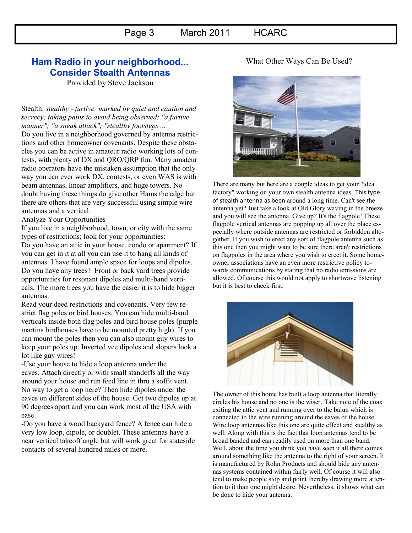## **Ham Radio in your neighborhood... Consider Stealth Antennas**

Provided by Steve Jackson

Stealth: *stealthy - furtive: marked by quiet and caution and secrecy; taking pains to avoid being observed; "a furtive manner"; "a sneak attack"; "stealthy footsteps ...*

Do you live in a neighborhood governed by antenna restrictions and other homeowner covenants. Despite these obstacles you can be active in amateur radio working lots of contests, with plenty of DX and QRO/QRP fun. Many amateur radio operators have the mistaken assumption that the only way you can ever work DX, contests, or even WAS is with beam antennas, linear amplifiers, and huge towers. No doubt having these things do give other Hams the edge but there are others that are very successful using simple wire antennas and a vertical.

Analyze Your Opportunities

If you live in a neighborhood, town, or city with the same types of restrictions; look for your opportunities:

Do you have an attic in your house, condo or apartment? If you can get in it at all you can use it to hang all kinds of antennas. I have found ample space for loops and dipoles. Do you have any trees? Front or back yard trees provide opportunities for resonant dipoles and multi-band verticals. The more trees you have the easier it is to hide bigger antennas.

Read your deed restrictions and covenants. Very few restrict flag poles or bird houses. You can hide multi-band verticals inside both flag poles and bird house poles (purple martins birdhouses have to be mounted pretty high). If you can mount the poles then you can also mount guy wires to keep your poles up. Inverted vee dipoles and slopers look a lot like guy wires!

-Use your house to hide a loop antenna under the eaves. Attach directly or with small standoffs all the way around your house and run feed line in thru a soffit vent. No way to get a loop here? Then hide dipoles under the eaves on different sides of the house. Get two dipoles up at 90 degrees apart and you can work most of the USA with ease.

-Do you have a wood backyard fence? A fence can hide a very low loop, dipole, or doublet. These antennas have a near vertical takeoff angle but will work great for stateside contacts of several hundred miles or more.

#### What Other Ways Can Be Used?



There are many but here are a couple ideas to get your "idea factory" working on your own stealth antenna ideas. This type of stealth antenna as been around a long time. Can't see the antenna yet? Just take a look at Old Glory waving in the breeze and you will see the antenna. Give up? It's the flagpole! These flagpole vertical antennas are popping up all over the place especially where outside antennas are restricted or forbidden altogether. If you wish to erect any sort of flagpole antenna such as this one then you might want to be sure there aren't restrictions on flagpoles in the area where you wish to erect it. Some homeowner associations have an even more restrictive policy towards communications by stating that no radio emissions are allowed. Of course this would not apply to shortwave listening but it is best to check first.



The owner of this home has built a loop antenna that literally circles his house and no one is the wiser. Take note of the coax exiting the attic vent and running over to the balun which is connected to the wire running around the eaves of the house. Wire loop antennas like this one are quite effect and stealthy as well. Along with this is the fact that loop antennas tend to be broad banded and can readily used on more than one band. Well, about the time you think you have seen it all there comes around something like the antenna to the right of your screen. It is manufactured by Rohn Products and should hide any antennas systems contained within fairly well. Of course it will also tend to make people stop and point thereby drawing more attention to it than one might desire. Nevertheless, it shows what can be done to hide your antenna.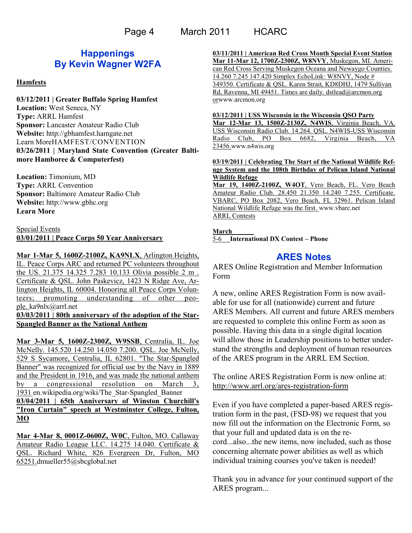Page 4 March 2011 HCARC

## **Happenings By Kevin Wagner W2FA**

#### **Hamfests**

**03/12/2011 | [Greater Buffalo Spring Hamfest](http://www.arrl.org/hamfests/greater-buffalo-spring-hamfest) Location:** West Seneca, NY **Type:** ARRL Hamfest **Sponsor:** Lancaster Amateur Radio Club **Website:** [http://gbhamfest.hamgate.net](http://gbhamfest.hamgate.net/) [Learn MoreH](http://www.arrl.org/hamfests/greater-buffalo-spring-hamfest)AMFEST/CONVENTION **03/26/2011 | [Maryland State Convention \(Greater Balti](http://www.arrl.org/hamfests/maryland-state-convention-greater-baltimore-hamboree-computerfest)[more Hamboree & Computerfest\)](http://www.arrl.org/hamfests/maryland-state-convention-greater-baltimore-hamboree-computerfest)**

**Location:** Timonium, MD **Type:** ARRL Convention **Sponsor:** Baltimore Amateur Radio Club **Website:** [http://www.gbhc.org](http://www.gbhc.org/) **[Learn More](http://www.arrl.org/hamfests/maryland-state-convention-greater-baltimore-hamboree-computerfest)**

#### Special Events **03/01/2011 | Peace Corps 50 Year Anniversary**

**Mar 1-Mar 5, 1600Z-2100Z, KA9NLX**, Arlington Heights, IL. Peace Corps ARC and returned PC volunteers throughout the US. 21.375 14.325 7.283 10.133 Olivia possible 2 m . Certificate & QSL. John Paskevicz, 1423 N Ridge Ave, Arlington Heights, IL 60004. Honoring all Peace Corps Volunteers; promoting understanding of other people. [ka9nlx@arrl.net](mailto:)

**03/03/2011 | 80th anniversary of the adoption of the Star-Spangled Banner as the National Anthem**

**Mar 3-Mar 5, 1600Z-2300Z, W9SSB**, Centralia, IL. Joe McNelly. 145.520 14.250 14.050 7.200. QSL. Joe McNelly, 529 S Sycamore, Centralia, IL 62801. "The Star-Spangled Banner" was recognized for official use by the Navy in 1889 and the President in 1916, and was made the national anthem by a congressional resolution on March 3, 1931 [en.wikipedia.org/wiki/The\\_Star-Spangled\\_Banner](http://en.wikipedia.org/wiki/The_Star-Spangled_Banner) **03/04/2011 | 65th Anniversary of Winston Churchill's "Iron Curtain" speech at Westminster College, Fulton, MO**

**Mar 4-Mar 8, 0001Z-0600Z, W0C**, Fulton, MO. Callaway Amateur Radio League LLC. 14.275 14.040. Certificate & QSL. Richard White, 826 Evergreen Dr, Fulton, MO 65251.[dmueller55@sbcglobal.net](mailto:)

**03/11/2011 | American Red Cross Month Special Event Station Mar 11-Mar 12, 1700Z-2300Z, W8NVY**, Muskegon, MI. American Red Cross Serving Muskegon Oceana and Newaygo Counties. 14.260 7.245 147.420 Simplex EchoLink: W8NVY, Node # 349350. Certificate & QSL. Karen Strait, KD8DHJ, 1479 Sullivan Rd, Ravenna, MI 49451. Times are daily. [dstlead@arcmon.org](mailto:dstlead@arcmon.org) or[www.arcmon.org](http://www.arcmon.org/)

**03/12/2011 | USS Wisconsin in the Wisconsin QSO Party Mar 12-Mar 13, 1500Z-2130Z, N4WIS**, Virginia Beach, VA. USS Wisconsin Radio Club. 14.264. QSL. N4WIS-USS Wisconsin Radio Club, PO Box 6682, Virginia Beach, VA 23456.[www.n4wis.org](http://www.n4wis.org/)

**03/19/2011 | Celebrating The Start of the National Wildlife Refuge System and the 108th Birthday of Pelican Island National Wildlife Refuge**

**Mar 19, 1400Z-2100Z, W4OT**, Vero Beach, FL. Vero Beach Amateur Radio Club. 28.450 21.350 14.240 7.255. Certificate. VBARC, PO Box 2082, Vero Beach, FL 32961. Pelican Island National Wildlife Refuge was the first. [www.vbarc.net](http://www.vbarc.net/) ARRL Contests

#### **March**

5-6 **[International DX Contest](http://www.arrl.org/arrl-dx) – Phone**

## **ARES Notes**

ARES Online Registration and Member Information Form

A new, online ARES Registration Form is now available for use for all (nationwide) current and future ARES Members. All current and future ARES members are requested to complete this online Form as soon as possible. Having this data in a single digital location will allow those in Leadership positions to better understand the strengths and deployment of human resources of the ARES program in the ARRL EM Section.

The online ARES Registration Form is now online at: <http://www.arrl.org/ares-registration-form>

Even if you have completed a paper-based ARES registration form in the past, (FSD-98) we request that you now fill out the information on the Electronic Form, so that your full and updated data is on the record...also...the new items, now included, such as those concerning alternate power abilities as well as which individual training courses you've taken is needed!

Thank you in advance for your continued support of the ARES program...